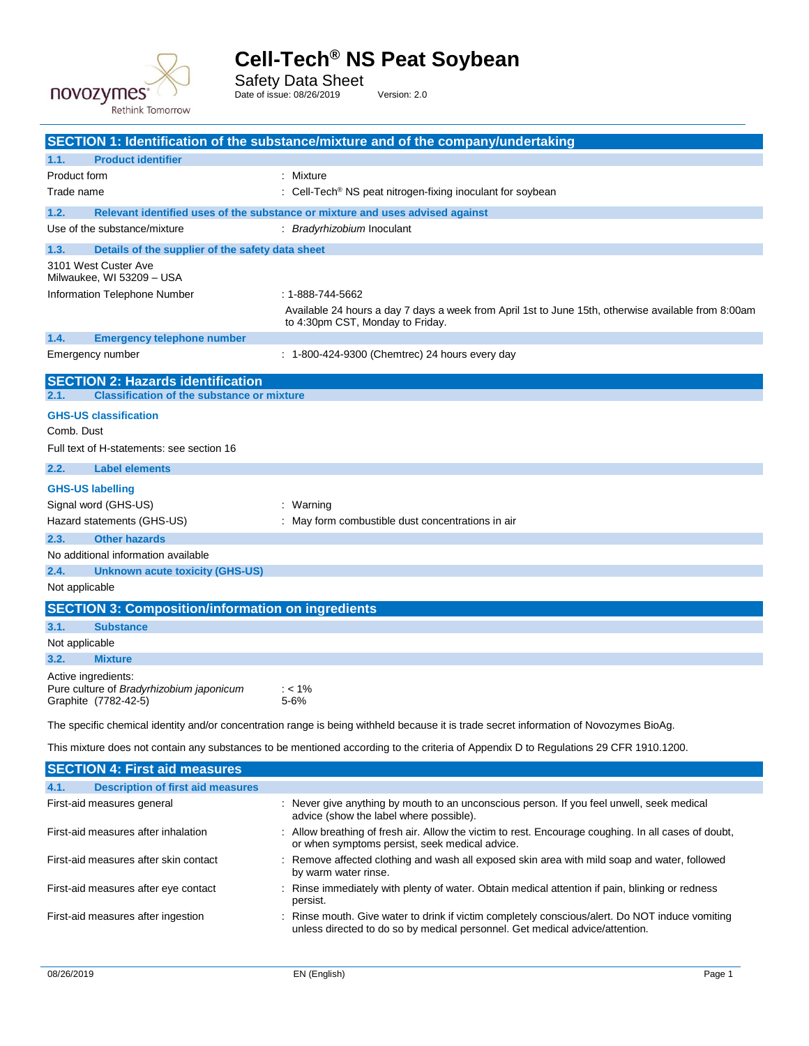

Safety Data Sheet

Date of issue: 08/26/2019 Version: 2.0

|                                                                 | SECTION 1: Identification of the substance/mixture and of the company/undertaking                                                                      |  |  |  |
|-----------------------------------------------------------------|--------------------------------------------------------------------------------------------------------------------------------------------------------|--|--|--|
| <b>Product identifier</b><br>1.1.                               |                                                                                                                                                        |  |  |  |
| Product form                                                    | : Mixture                                                                                                                                              |  |  |  |
| Trade name                                                      | : Cell-Tech <sup>®</sup> NS peat nitrogen-fixing inoculant for soybean                                                                                 |  |  |  |
| 1.2.                                                            | Relevant identified uses of the substance or mixture and uses advised against                                                                          |  |  |  |
| Use of the substance/mixture                                    | : Bradyrhizobium Inoculant                                                                                                                             |  |  |  |
| 1.3.<br>Details of the supplier of the safety data sheet        |                                                                                                                                                        |  |  |  |
| 3101 West Custer Ave                                            |                                                                                                                                                        |  |  |  |
| Milwaukee, WI 53209 - USA<br>Information Telephone Number       | : 1-888-744-5662                                                                                                                                       |  |  |  |
|                                                                 | Available 24 hours a day 7 days a week from April 1st to June 15th, otherwise available from 8:00am                                                    |  |  |  |
|                                                                 | to 4:30pm CST, Monday to Friday.                                                                                                                       |  |  |  |
| 1.4.<br><b>Emergency telephone number</b>                       |                                                                                                                                                        |  |  |  |
| Emergency number                                                | : 1-800-424-9300 (Chemtrec) 24 hours every day                                                                                                         |  |  |  |
| <b>SECTION 2: Hazards identification</b>                        |                                                                                                                                                        |  |  |  |
| <b>Classification of the substance or mixture</b><br>2.1.       |                                                                                                                                                        |  |  |  |
| <b>GHS-US classification</b>                                    |                                                                                                                                                        |  |  |  |
| Comb. Dust                                                      |                                                                                                                                                        |  |  |  |
| Full text of H-statements: see section 16                       |                                                                                                                                                        |  |  |  |
| 2.2.<br><b>Label elements</b>                                   |                                                                                                                                                        |  |  |  |
| <b>GHS-US labelling</b>                                         |                                                                                                                                                        |  |  |  |
| Signal word (GHS-US)                                            | : Warning                                                                                                                                              |  |  |  |
| Hazard statements (GHS-US)                                      | : May form combustible dust concentrations in air                                                                                                      |  |  |  |
| <b>Other hazards</b><br>2.3.                                    |                                                                                                                                                        |  |  |  |
| No additional information available                             |                                                                                                                                                        |  |  |  |
| 2.4.<br><b>Unknown acute toxicity (GHS-US)</b>                  |                                                                                                                                                        |  |  |  |
| Not applicable                                                  |                                                                                                                                                        |  |  |  |
| <b>SECTION 3: Composition/information on ingredients</b>        |                                                                                                                                                        |  |  |  |
| 3.1.<br><b>Substance</b>                                        |                                                                                                                                                        |  |  |  |
| Not applicable                                                  |                                                                                                                                                        |  |  |  |
| 3.2.<br><b>Mixture</b>                                          |                                                                                                                                                        |  |  |  |
| Active ingredients:<br>Pure culture of Bradyrhizobium japonicum | $: < 1\%$                                                                                                                                              |  |  |  |
| Graphite (7782-42-5)                                            | 5-6%                                                                                                                                                   |  |  |  |
|                                                                 | The specific chemical identity and/or concentration range is being withheld because it is trade secret information of Novozymes BioAg.                 |  |  |  |
|                                                                 |                                                                                                                                                        |  |  |  |
|                                                                 | This mixture does not contain any substances to be mentioned according to the criteria of Appendix D to Regulations 29 CFR 1910.1200.                  |  |  |  |
| <b>SECTION 4: First aid measures</b>                            |                                                                                                                                                        |  |  |  |
| <b>Description of first aid measures</b><br>4.1.                |                                                                                                                                                        |  |  |  |
| First-aid measures general                                      | : Never give anything by mouth to an unconscious person. If you feel unwell, seek medical<br>advice (show the label where possible).                   |  |  |  |
| First-aid measures after inhalation                             | : Allow breathing of fresh air. Allow the victim to rest. Encourage coughing. In all cases of doubt,<br>or when symptoms persist, seek medical advice. |  |  |  |
| First-aid measures after skin contact                           | : Remove affected clothing and wash all exposed skin area with mild soap and water, followed<br>by warm water rinse.                                   |  |  |  |
| First-aid measures after eye contact                            | : Rinse immediately with plenty of water. Obtain medical attention if pain, blinking or redness<br>persist.                                            |  |  |  |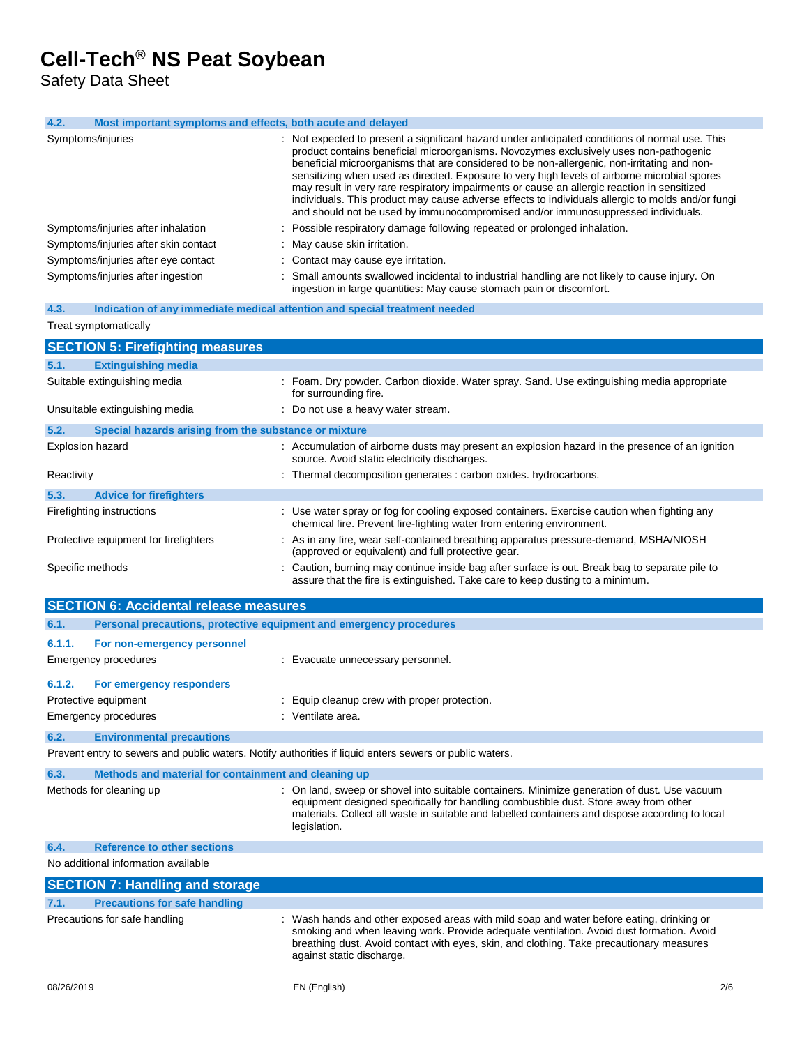Safety Data Sheet

| 4.2. | Most important symptoms and effects, both acute and delayed |                                                                                                                                                                                                                                                                                                                                                                                                                                                                                                                                                                                                                                                                                 |
|------|-------------------------------------------------------------|---------------------------------------------------------------------------------------------------------------------------------------------------------------------------------------------------------------------------------------------------------------------------------------------------------------------------------------------------------------------------------------------------------------------------------------------------------------------------------------------------------------------------------------------------------------------------------------------------------------------------------------------------------------------------------|
|      | Symptoms/injuries                                           | : Not expected to present a significant hazard under anticipated conditions of normal use. This<br>product contains beneficial microorganisms. Novozymes exclusively uses non-pathogenic<br>beneficial microorganisms that are considered to be non-allergenic, non-irritating and non-<br>sensitizing when used as directed. Exposure to very high levels of airborne microbial spores<br>may result in very rare respiratory impairments or cause an allergic reaction in sensitized<br>individuals. This product may cause adverse effects to individuals allergic to molds and/or fungi<br>and should not be used by immunocompromised and/or immunosuppressed individuals. |
|      | Symptoms/injuries after inhalation                          | : Possible respiratory damage following repeated or prolonged inhalation.                                                                                                                                                                                                                                                                                                                                                                                                                                                                                                                                                                                                       |
|      | Symptoms/injuries after skin contact                        | : May cause skin irritation.                                                                                                                                                                                                                                                                                                                                                                                                                                                                                                                                                                                                                                                    |
|      | Symptoms/injuries after eye contact                         | : Contact may cause eye irritation.                                                                                                                                                                                                                                                                                                                                                                                                                                                                                                                                                                                                                                             |
|      | Symptoms/injuries after ingestion                           | : Small amounts swallowed incidental to industrial handling are not likely to cause injury. On<br>ingestion in large quantities: May cause stomach pain or discomfort.                                                                                                                                                                                                                                                                                                                                                                                                                                                                                                          |

| 4.3. |                       | Indication of any immediate medical attention and special treatment needed |  |  |  |
|------|-----------------------|----------------------------------------------------------------------------|--|--|--|
|      | Treat symptomatically |                                                                            |  |  |  |

|                              | <b>SECTION 5: Firefighting measures</b>               |                                                                                                                                                                                 |  |
|------------------------------|-------------------------------------------------------|---------------------------------------------------------------------------------------------------------------------------------------------------------------------------------|--|
| 5.1.                         | <b>Extinguishing media</b>                            |                                                                                                                                                                                 |  |
| Suitable extinguishing media |                                                       | : Foam. Dry powder. Carbon dioxide. Water spray. Sand. Use extinguishing media appropriate<br>for surrounding fire.                                                             |  |
|                              | Unsuitable extinguishing media                        | : Do not use a heavy water stream.                                                                                                                                              |  |
| 5.2.                         | Special hazards arising from the substance or mixture |                                                                                                                                                                                 |  |
| <b>Explosion hazard</b>      |                                                       | : Accumulation of airborne dusts may present an explosion hazard in the presence of an ignition<br>source. Avoid static electricity discharges.                                 |  |
| Reactivity                   |                                                       | : Thermal decomposition generates : carbon oxides. hydrocarbons.                                                                                                                |  |
| 5.3.                         | <b>Advice for firefighters</b>                        |                                                                                                                                                                                 |  |
|                              | Firefighting instructions                             | : Use water spray or fog for cooling exposed containers. Exercise caution when fighting any<br>chemical fire. Prevent fire-fighting water from entering environment.            |  |
|                              | Protective equipment for firefighters                 | : As in any fire, wear self-contained breathing apparatus pressure-demand, MSHA/NIOSH<br>(approved or equivalent) and full protective gear.                                     |  |
| Specific methods             |                                                       | : Caution, burning may continue inside bag after surface is out. Break bag to separate pile to<br>assure that the fire is extinguished. Take care to keep dusting to a minimum. |  |

|                               | <b>SECTION 6: Accidental release measures</b>                       |                                                                                                                                                                                                                                                                                                               |  |  |  |  |  |
|-------------------------------|---------------------------------------------------------------------|---------------------------------------------------------------------------------------------------------------------------------------------------------------------------------------------------------------------------------------------------------------------------------------------------------------|--|--|--|--|--|
| 6.1.                          | Personal precautions, protective equipment and emergency procedures |                                                                                                                                                                                                                                                                                                               |  |  |  |  |  |
| 6.1.1.                        | For non-emergency personnel                                         |                                                                                                                                                                                                                                                                                                               |  |  |  |  |  |
|                               | Emergency procedures                                                | : Evacuate unnecessary personnel.                                                                                                                                                                                                                                                                             |  |  |  |  |  |
| 6.1.2.                        | For emergency responders                                            |                                                                                                                                                                                                                                                                                                               |  |  |  |  |  |
|                               | Protective equipment                                                | : Equip cleanup crew with proper protection.                                                                                                                                                                                                                                                                  |  |  |  |  |  |
|                               | Emergency procedures                                                | : Ventilate area.                                                                                                                                                                                                                                                                                             |  |  |  |  |  |
| 6.2.                          | <b>Environmental precautions</b>                                    |                                                                                                                                                                                                                                                                                                               |  |  |  |  |  |
|                               |                                                                     | Prevent entry to sewers and public waters. Notify authorities if liquid enters sewers or public waters.                                                                                                                                                                                                       |  |  |  |  |  |
| 6.3.                          | Methods and material for containment and cleaning up                |                                                                                                                                                                                                                                                                                                               |  |  |  |  |  |
|                               | Methods for cleaning up                                             | : On land, sweep or shovel into suitable containers. Minimize generation of dust. Use vacuum<br>equipment designed specifically for handling combustible dust. Store away from other<br>materials. Collect all waste in suitable and labelled containers and dispose according to local<br>legislation.       |  |  |  |  |  |
| 6.4.                          | <b>Reference to other sections</b>                                  |                                                                                                                                                                                                                                                                                                               |  |  |  |  |  |
|                               | No additional information available                                 |                                                                                                                                                                                                                                                                                                               |  |  |  |  |  |
|                               | <b>SECTION 7: Handling and storage</b>                              |                                                                                                                                                                                                                                                                                                               |  |  |  |  |  |
| 7.1.                          | <b>Precautions for safe handling</b>                                |                                                                                                                                                                                                                                                                                                               |  |  |  |  |  |
| Precautions for safe handling |                                                                     | : Wash hands and other exposed areas with mild soap and water before eating, drinking or<br>smoking and when leaving work. Provide adequate ventilation. Avoid dust formation. Avoid<br>breathing dust. Avoid contact with eyes, skin, and clothing. Take precautionary measures<br>against static discharge. |  |  |  |  |  |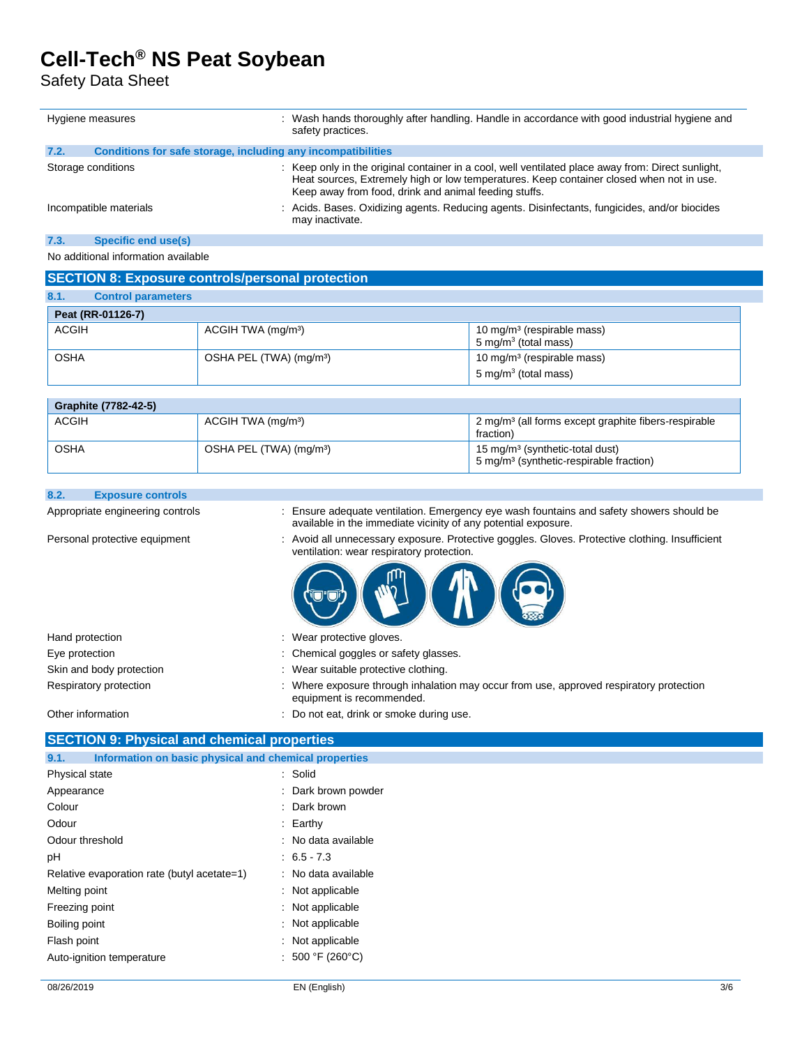### Safety Data Sheet

| Hygiene measures |                                                              | : Wash hands thoroughly after handling. Handle in accordance with good industrial hygiene and<br>safety practices.                                                                                                                                      |  |  |
|------------------|--------------------------------------------------------------|---------------------------------------------------------------------------------------------------------------------------------------------------------------------------------------------------------------------------------------------------------|--|--|
| 7.2.             | Conditions for safe storage, including any incompatibilities |                                                                                                                                                                                                                                                         |  |  |
|                  | Storage conditions                                           | : Keep only in the original container in a cool, well ventilated place away from: Direct sunlight,<br>Heat sources, Extremely high or low temperatures. Keep container closed when not in use.<br>Keep away from food, drink and animal feeding stuffs. |  |  |
|                  | Incompatible materials                                       | : Acids. Bases. Oxidizing agents. Reducing agents. Disinfectants, fungicides, and/or biocides<br>may inactivate.                                                                                                                                        |  |  |
| 7.3.             | Specific end use(s)                                          |                                                                                                                                                                                                                                                         |  |  |
|                  | No additional information available                          |                                                                                                                                                                                                                                                         |  |  |

### **SECTION 8: Exposure controls/personal protection**

| 8.1.        | <b>Control parameters</b> |                                     |                                                                   |
|-------------|---------------------------|-------------------------------------|-------------------------------------------------------------------|
|             | Peat (RR-01126-7)         |                                     |                                                                   |
| ACGIH       |                           | ACGIH TWA (mg/m <sup>3</sup> )      | 10 mg/m <sup>3</sup> (respirable mass)<br>5 mg/m $3$ (total mass) |
| <b>OSHA</b> |                           | OSHA PEL (TWA) (mg/m <sup>3</sup> ) | 10 mg/m <sup>3</sup> (respirable mass)<br>5 mg/m $3$ (total mass) |

| Graphite (7782-42-5) |                                     |                                                                                                    |
|----------------------|-------------------------------------|----------------------------------------------------------------------------------------------------|
| <b>ACGIH</b>         | ACGIH TWA (mg/m <sup>3</sup> )      | 2 mg/m <sup>3</sup> (all forms except graphite fibers-respirable<br>fraction)                      |
| <b>OSHA</b>          | OSHA PEL (TWA) (mg/m <sup>3</sup> ) | 15 mg/m <sup>3</sup> (synthetic-total dust)<br>5 mg/m <sup>3</sup> (synthetic-respirable fraction) |

#### **8.2. Exposure controls**

Appropriate engineering controls : Ensure adequate ventilation. Emergency eye wash fountains and safety showers should be available in the immediate vicinity of any potential exposure.

Personal protective equipment : Avoid all unnecessary exposure. Protective goggles. Gloves. Protective clothing. Insufficient ventilation: wear respiratory protection.



| Hand protection          | Wear protective gloves.                                                                                            |
|--------------------------|--------------------------------------------------------------------------------------------------------------------|
| Eye protection           | : Chemical goggles or safety glasses.                                                                              |
| Skin and body protection | Wear suitable protective clothing.                                                                                 |
| Respiratory protection   | Where exposure through inhalation may occur from use, approved respiratory protection<br>equipment is recommended. |

Other information : Do not eat, drink or smoke during use.

### **SECTION 9: Physical and chemical properties**

| Information on basic physical and chemical properties<br>9.1. |                         |  |
|---------------------------------------------------------------|-------------------------|--|
| Physical state                                                | : Solid                 |  |
| Appearance                                                    | : Dark brown powder     |  |
| Colour                                                        | $\therefore$ Dark brown |  |
| Odour                                                         | $\therefore$ Earthy     |  |
| Odour threshold                                               | : No data available     |  |
| рH                                                            | $: 6.5 - 7.3$           |  |
| Relative evaporation rate (butyl acetate=1)                   | : No data available     |  |
| Melting point                                                 | : Not applicable        |  |
| Freezing point                                                | : Not applicable        |  |
| Boiling point                                                 | : Not applicable        |  |
| Flash point                                                   | : Not applicable        |  |
| Auto-ignition temperature                                     | : 500 °F (260 °C)       |  |
|                                                               |                         |  |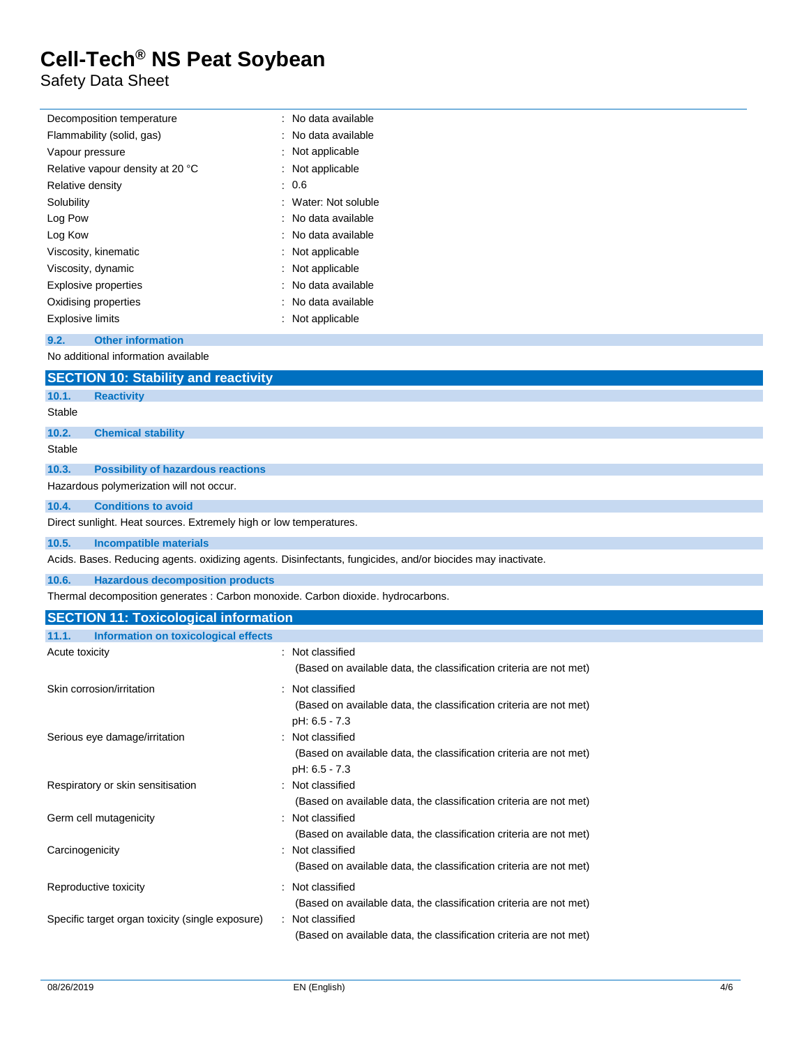Safety Data Sheet

| Decomposition temperature                                                                                   | : No data available                                                |  |  |  |  |
|-------------------------------------------------------------------------------------------------------------|--------------------------------------------------------------------|--|--|--|--|
| Flammability (solid, gas)                                                                                   | : No data available                                                |  |  |  |  |
| Vapour pressure                                                                                             | : Not applicable                                                   |  |  |  |  |
| Relative vapour density at 20 °C                                                                            | : Not applicable                                                   |  |  |  |  |
| Relative density                                                                                            | : 0.6                                                              |  |  |  |  |
| Solubility                                                                                                  | Water: Not soluble                                                 |  |  |  |  |
| Log Pow                                                                                                     | No data available                                                  |  |  |  |  |
| Log Kow                                                                                                     | No data available                                                  |  |  |  |  |
| Viscosity, kinematic                                                                                        | Not applicable                                                     |  |  |  |  |
| Viscosity, dynamic                                                                                          | : Not applicable                                                   |  |  |  |  |
| <b>Explosive properties</b>                                                                                 | No data available                                                  |  |  |  |  |
| Oxidising properties                                                                                        | No data available                                                  |  |  |  |  |
| <b>Explosive limits</b>                                                                                     | : Not applicable                                                   |  |  |  |  |
| <b>Other information</b><br>9.2.                                                                            |                                                                    |  |  |  |  |
| No additional information available                                                                         |                                                                    |  |  |  |  |
| <b>SECTION 10: Stability and reactivity</b>                                                                 |                                                                    |  |  |  |  |
| 10.1.<br><b>Reactivity</b>                                                                                  |                                                                    |  |  |  |  |
| Stable                                                                                                      |                                                                    |  |  |  |  |
| 10.2.<br><b>Chemical stability</b>                                                                          |                                                                    |  |  |  |  |
| Stable                                                                                                      |                                                                    |  |  |  |  |
| 10.3.<br><b>Possibility of hazardous reactions</b>                                                          |                                                                    |  |  |  |  |
| Hazardous polymerization will not occur.                                                                    |                                                                    |  |  |  |  |
| 10.4.<br><b>Conditions to avoid</b>                                                                         |                                                                    |  |  |  |  |
| Direct sunlight. Heat sources. Extremely high or low temperatures.                                          |                                                                    |  |  |  |  |
| 10.5.<br><b>Incompatible materials</b>                                                                      |                                                                    |  |  |  |  |
| Acids. Bases. Reducing agents. oxidizing agents. Disinfectants, fungicides, and/or biocides may inactivate. |                                                                    |  |  |  |  |
| 10.6.<br><b>Hazardous decomposition products</b>                                                            |                                                                    |  |  |  |  |
| Thermal decomposition generates : Carbon monoxide. Carbon dioxide. hydrocarbons.                            |                                                                    |  |  |  |  |
| <b>SECTION 11: Toxicological information</b>                                                                |                                                                    |  |  |  |  |
| 11.1.<br><b>Information on toxicological effects</b>                                                        |                                                                    |  |  |  |  |
| Acute toxicity<br>: Not classified                                                                          |                                                                    |  |  |  |  |
|                                                                                                             | (Based on available data, the classification criteria are not met) |  |  |  |  |
| Skin corrosion/irritation                                                                                   | : Not classified                                                   |  |  |  |  |
|                                                                                                             |                                                                    |  |  |  |  |

|                                                  | (Based on available data, the classification criteria are not met)<br>pH: 6.5 - 7.3 |
|--------------------------------------------------|-------------------------------------------------------------------------------------|
| Serious eye damage/irritation                    | : Not classified                                                                    |
|                                                  | (Based on available data, the classification criteria are not met)                  |
|                                                  | pH: 6.5 - 7.3                                                                       |
| Respiratory or skin sensitisation                | : Not classified                                                                    |
|                                                  | (Based on available data, the classification criteria are not met)                  |
| Germ cell mutagenicity                           | : Not classified                                                                    |
|                                                  | (Based on available data, the classification criteria are not met)                  |
| Carcinogenicity                                  | : Not classified                                                                    |
|                                                  | (Based on available data, the classification criteria are not met)                  |
| Reproductive toxicity                            | : Not classified                                                                    |
|                                                  | (Based on available data, the classification criteria are not met)                  |
| Specific target organ toxicity (single exposure) | : Not classified                                                                    |
|                                                  | (Based on available data, the classification criteria are not met)                  |
|                                                  |                                                                                     |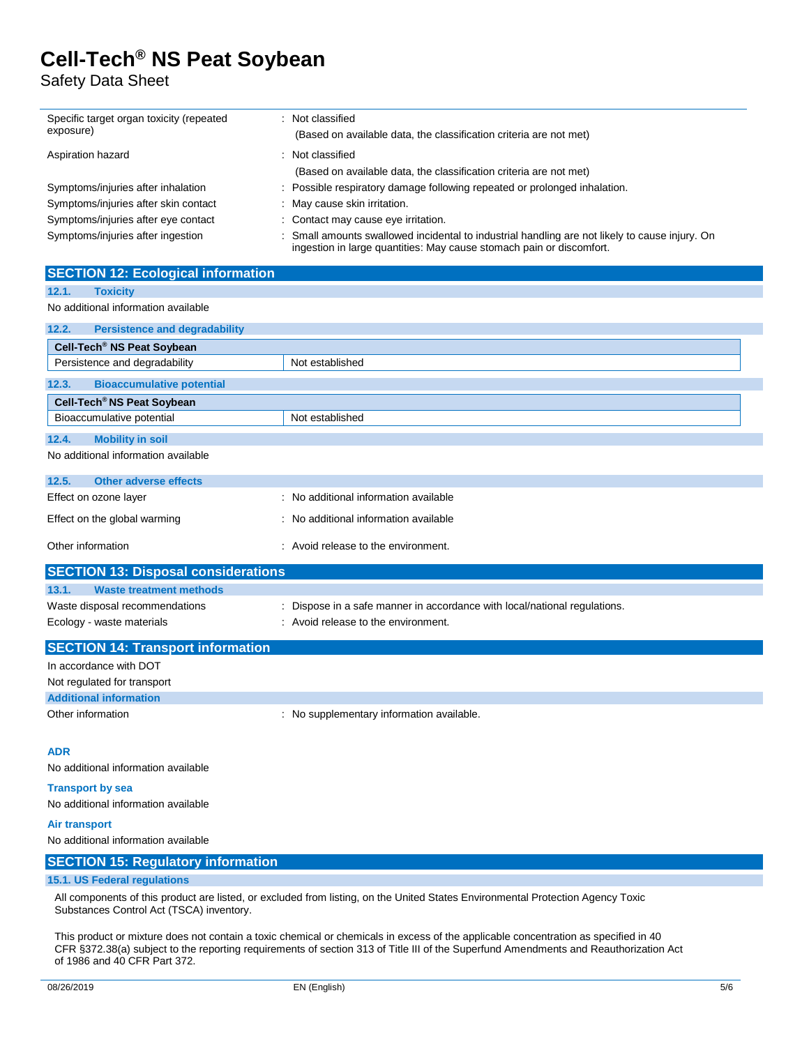Safety Data Sheet

| Specific target organ toxicity (repeated<br>exposure)                                                                                                                       | : Not classified<br>(Based on available data, the classification criteria are not met)                                                          |  |  |  |
|-----------------------------------------------------------------------------------------------------------------------------------------------------------------------------|-------------------------------------------------------------------------------------------------------------------------------------------------|--|--|--|
| Aspiration hazard                                                                                                                                                           | : Not classified                                                                                                                                |  |  |  |
|                                                                                                                                                                             | (Based on available data, the classification criteria are not met)<br>: Possible respiratory damage following repeated or prolonged inhalation. |  |  |  |
| Symptoms/injuries after inhalation                                                                                                                                          | May cause skin irritation.                                                                                                                      |  |  |  |
| Symptoms/injuries after skin contact<br>Symptoms/injuries after eye contact                                                                                                 | Contact may cause eye irritation.                                                                                                               |  |  |  |
| Symptoms/injuries after ingestion                                                                                                                                           | Small amounts swallowed incidental to industrial handling are not likely to cause injury. On                                                    |  |  |  |
|                                                                                                                                                                             | ingestion in large quantities: May cause stomach pain or discomfort.                                                                            |  |  |  |
| <b>SECTION 12: Ecological information</b>                                                                                                                                   |                                                                                                                                                 |  |  |  |
| <b>Toxicity</b><br>12.1.                                                                                                                                                    |                                                                                                                                                 |  |  |  |
| No additional information available                                                                                                                                         |                                                                                                                                                 |  |  |  |
| 12.2.<br><b>Persistence and degradability</b>                                                                                                                               |                                                                                                                                                 |  |  |  |
| Cell-Tech <sup>®</sup> NS Peat Soybean                                                                                                                                      |                                                                                                                                                 |  |  |  |
| Persistence and degradability                                                                                                                                               | Not established                                                                                                                                 |  |  |  |
| 12.3.<br><b>Bioaccumulative potential</b>                                                                                                                                   |                                                                                                                                                 |  |  |  |
| Cell-Tech <sup>®</sup> NS Peat Soybean                                                                                                                                      |                                                                                                                                                 |  |  |  |
| Bioaccumulative potential                                                                                                                                                   | Not established                                                                                                                                 |  |  |  |
| 12.4.<br><b>Mobility in soil</b>                                                                                                                                            |                                                                                                                                                 |  |  |  |
| No additional information available                                                                                                                                         |                                                                                                                                                 |  |  |  |
| 12.5.<br><b>Other adverse effects</b>                                                                                                                                       |                                                                                                                                                 |  |  |  |
| Effect on ozone layer                                                                                                                                                       | : No additional information available                                                                                                           |  |  |  |
| Effect on the global warming                                                                                                                                                | : No additional information available                                                                                                           |  |  |  |
| Other information                                                                                                                                                           | : Avoid release to the environment.                                                                                                             |  |  |  |
| <b>SECTION 13: Disposal considerations</b>                                                                                                                                  |                                                                                                                                                 |  |  |  |
| 13.1.<br><b>Waste treatment methods</b>                                                                                                                                     |                                                                                                                                                 |  |  |  |
| Waste disposal recommendations                                                                                                                                              | : Dispose in a safe manner in accordance with local/national regulations.                                                                       |  |  |  |
| Ecology - waste materials                                                                                                                                                   | : Avoid release to the environment.                                                                                                             |  |  |  |
| <b>SECTION 14: Transport information</b>                                                                                                                                    |                                                                                                                                                 |  |  |  |
| In accordance with DOT                                                                                                                                                      |                                                                                                                                                 |  |  |  |
| Not regulated for transport                                                                                                                                                 |                                                                                                                                                 |  |  |  |
| <b>Additional information</b>                                                                                                                                               |                                                                                                                                                 |  |  |  |
| Other information                                                                                                                                                           | : No supplementary information available.                                                                                                       |  |  |  |
| <b>ADR</b>                                                                                                                                                                  |                                                                                                                                                 |  |  |  |
| No additional information available                                                                                                                                         |                                                                                                                                                 |  |  |  |
| <b>Transport by sea</b>                                                                                                                                                     |                                                                                                                                                 |  |  |  |
| No additional information available                                                                                                                                         |                                                                                                                                                 |  |  |  |
| <b>Air transport</b>                                                                                                                                                        |                                                                                                                                                 |  |  |  |
| No additional information available                                                                                                                                         |                                                                                                                                                 |  |  |  |
| <b>SECTION 15: Regulatory information</b>                                                                                                                                   |                                                                                                                                                 |  |  |  |
| 15.1. US Federal regulations                                                                                                                                                |                                                                                                                                                 |  |  |  |
| All components of this product are listed, or excluded from listing, on the United States Environmental Protection Agency Toxic<br>Substances Control Act (TSCA) inventory. |                                                                                                                                                 |  |  |  |

This product or mixture does not contain a toxic chemical or chemicals in excess of the applicable concentration as specified in 40 CFR §372.38(a) subject to the reporting requirements of section 313 of Title III of the Superfund Amendments and Reauthorization Act of 1986 and 40 CFR Part 372.